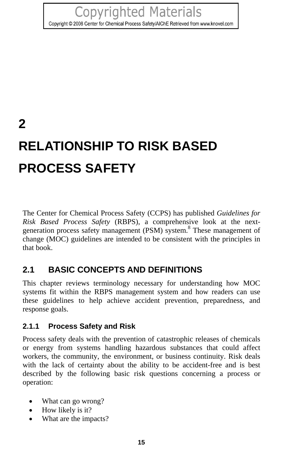## opyrighted Materials Copyright © 2008 Center for Chemical Process Safety/AIChE Retrieved from www.knovel.com

# **2**

# **RELATIONSHIP TO RISK BASED PROCESS SAFETY**

The Center for Chemical Process Safety (CCPS) has published *Guidelines for Risk Based Process Safety* (RBPS), a comprehensive look at the nextgeneration process safety management (PSM) system.<sup>8</sup> These management of change (MOC) guidelines are intended to be consistent with the principles in that book.

### **2.1 BASIC CONCEPTS AND DEFINITIONS**

This chapter reviews terminology necessary for understanding how MOC systems fit within the RBPS management system and how readers can use these guidelines to help achieve accident prevention, preparedness, and response goals.

#### **2.1.1 Process Safety and Risk**

Process safety deals with the prevention of catastrophic releases of chemicals or energy from systems handling hazardous substances that could affect workers, the community, the environment, or business continuity. Risk deals with the lack of certainty about the ability to be accident-free and is best described by the following basic risk questions concerning a process or operation:

- What can go wrong?
- How likely is it?
- What are the impacts?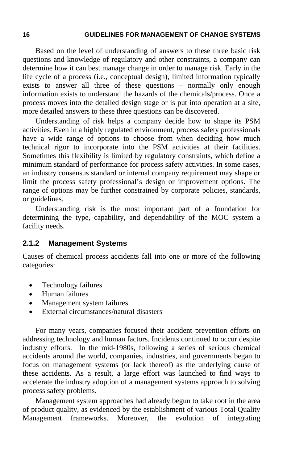#### **16 GUIDELINES FOR MANAGEMENT OF CHANGE SYSTEMS**

Based on the level of understanding of answers to these three basic risk questions and knowledge of regulatory and other constraints, a company can determine how it can best manage change in order to manage risk. Early in the life cycle of a process (i.e., conceptual design), limited information typically exists to answer all three of these questions – normally only enough information exists to understand the hazards of the chemicals/process. Once a process moves into the detailed design stage or is put into operation at a site, more detailed answers to these three questions can be discovered.

Understanding of risk helps a company decide how to shape its PSM activities. Even in a highly regulated environment, process safety professionals have a wide range of options to choose from when deciding how much technical rigor to incorporate into the PSM activities at their facilities. Sometimes this flexibility is limited by regulatory constraints, which define a minimum standard of performance for process safety activities. In some cases, an industry consensus standard or internal company requirement may shape or limit the process safety professional's design or improvement options. The range of options may be further constrained by corporate policies, standards, or guidelines.

Understanding risk is the most important part of a foundation for determining the type, capability, and dependability of the MOC system a facility needs.

#### **2.1.2 Management Systems**

Causes of chemical process accidents fall into one or more of the following categories:

- Technology failures
- Human failures
- Management system failures
- External circumstances/natural disasters

For many years, companies focused their accident prevention efforts on addressing technology and human factors. Incidents continued to occur despite industry efforts. In the mid-1980s, following a series of serious chemical accidents around the world, companies, industries, and governments began to focus on management systems (or lack thereof) as the underlying cause of these accidents. As a result, a large effort was launched to find ways to accelerate the industry adoption of a management systems approach to solving process safety problems.

Management system approaches had already begun to take root in the area of product quality, as evidenced by the establishment of various Total Quality Management frameworks. Moreover, the evolution of integrating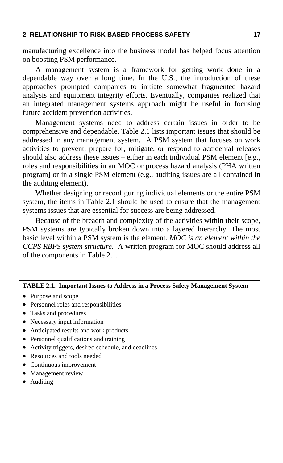manufacturing excellence into the business model has helped focus attention on boosting PSM performance.

A management system is a framework for getting work done in a dependable way over a long time. In the U.S., the introduction of these approaches prompted companies to initiate somewhat fragmented hazard analysis and equipment integrity efforts. Eventually, companies realized that an integrated management systems approach might be useful in focusing future accident prevention activities.

Management systems need to address certain issues in order to be comprehensive and dependable. Table 2.1 lists important issues that should be addressed in any management system. A PSM system that focuses on work activities to prevent, prepare for, mitigate, or respond to accidental releases should also address these issues – either in each individual PSM element [e.g., roles and responsibilities in an MOC or process hazard analysis (PHA written program] or in a single PSM element (e.g., auditing issues are all contained in the auditing element).

Whether designing or reconfiguring individual elements or the entire PSM system, the items in Table 2.1 should be used to ensure that the management systems issues that are essential for success are being addressed.

Because of the breadth and complexity of the activities within their scope, PSM systems are typically broken down into a layered hierarchy. The most basic level within a PSM system is the element. *MOC is an element within the CCPS RBPS system structure.* A written program for MOC should address all of the components in Table 2.1.

#### **TABLE 2.1. Important Issues to Address in a Process Safety Management System**

- Purpose and scope
- Personnel roles and responsibilities
- Tasks and procedures
- Necessary input information
- Anticipated results and work products
- Personnel qualifications and training
- Activity triggers, desired schedule, and deadlines
- Resources and tools needed
- Continuous improvement
- Management review
- Auditing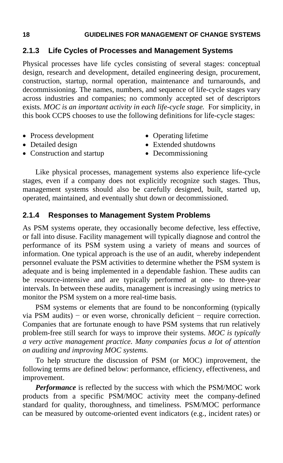#### **2.1.3 Life Cycles of Processes and Management Systems**

Physical processes have life cycles consisting of several stages: conceptual design, research and development, detailed engineering design, procurement, construction, startup, normal operation, maintenance and turnarounds, and decommissioning. The names, numbers, and sequence of life-cycle stages vary across industries and companies; no commonly accepted set of descriptors exists. *MOC is an important activity in each life-cycle stage.* For simplicity, in this book CCPS chooses to use the following definitions for life-cycle stages:

- Process development Operating lifetime
- 
- Construction and startup Decommissioning
- 
- Detailed design Extended shutdowns
	-

Like physical processes, management systems also experience life-cycle stages, even if a company does not explicitly recognize such stages. Thus, management systems should also be carefully designed, built, started up, operated, maintained, and eventually shut down or decommissioned.

#### **2.1.4 Responses to Management System Problems**

As PSM systems operate, they occasionally become defective, less effective, or fall into disuse. Facility management will typically diagnose and control the performance of its PSM system using a variety of means and sources of information. One typical approach is the use of an audit, whereby independent personnel evaluate the PSM activities to determine whether the PSM system is adequate and is being implemented in a dependable fashion. These audits can be resource-intensive and are typically performed at one- to three-year intervals. In between these audits, management is increasingly using metrics to monitor the PSM system on a more real-time basis.

PSM systems or elements that are found to be nonconforming (typically via PSM audits) − or even worse, chronically deficient − require correction. Companies that are fortunate enough to have PSM systems that run relatively problem-free still search for ways to improve their systems. *MOC is typically a very active management practice. Many companies focus a lot of attention on auditing and improving MOC systems.* 

To help structure the discussion of PSM (or MOC) improvement, the following terms are defined below: performance, efficiency, effectiveness, and improvement.

*Performance* is reflected by the success with which the PSM/MOC work products from a specific PSM/MOC activity meet the company-defined standard for quality, thoroughness, and timeliness. PSM/MOC performance can be measured by outcome-oriented event indicators (e.g., incident rates) or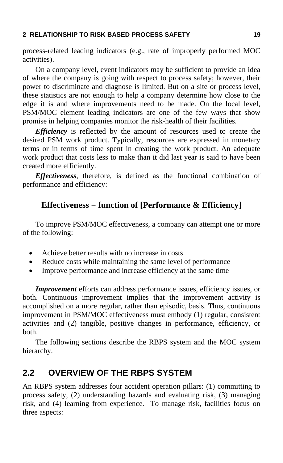process-related leading indicators (e.g., rate of improperly performed MOC activities).

On a company level, event indicators may be sufficient to provide an idea of where the company is going with respect to process safety; however, their power to discriminate and diagnose is limited. But on a site or process level, these statistics are not enough to help a company determine how close to the edge it is and where improvements need to be made. On the local level, PSM/MOC element leading indicators are one of the few ways that show promise in helping companies monitor the risk-health of their facilities.

*Efficiency* is reflected by the amount of resources used to create the desired PSM work product. Typically, resources are expressed in monetary terms or in terms of time spent in creating the work product. An adequate work product that costs less to make than it did last year is said to have been created more efficiently.

*Effectiveness*, therefore, is defined as the functional combination of performance and efficiency:

#### **Effectiveness = function of [Performance & Efficiency]**

To improve PSM/MOC effectiveness, a company can attempt one or more of the following:

- Achieve better results with no increase in costs
- Reduce costs while maintaining the same level of performance
- Improve performance and increase efficiency at the same time

*Improvement* efforts can address performance issues, efficiency issues, or both. Continuous improvement implies that the improvement activity is accomplished on a more regular, rather than episodic, basis. Thus, continuous improvement in PSM/MOC effectiveness must embody (1) regular, consistent activities and (2) tangible, positive changes in performance, efficiency, or both.

The following sections describe the RBPS system and the MOC system hierarchy.

#### **2.2 OVERVIEW OF THE RBPS SYSTEM**

An RBPS system addresses four accident operation pillars: (1) committing to process safety, (2) understanding hazards and evaluating risk, (3) managing risk, and (4) learning from experience. To manage risk, facilities focus on three aspects: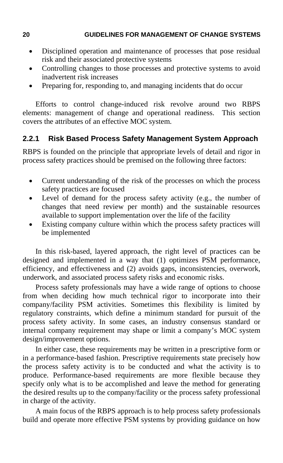- Disciplined operation and maintenance of processes that pose residual risk and their associated protective systems
- Controlling changes to those processes and protective systems to avoid inadvertent risk increases
- Preparing for, responding to, and managing incidents that do occur

Efforts to control change-induced risk revolve around two RBPS elements: management of change and operational readiness. This section covers the attributes of an effective MOC system.

#### **2.2.1 Risk Based Process Safety Management System Approach**

RBPS is founded on the principle that appropriate levels of detail and rigor in process safety practices should be premised on the following three factors:

- Current understanding of the risk of the processes on which the process safety practices are focused
- Level of demand for the process safety activity (e.g., the number of changes that need review per month) and the sustainable resources available to support implementation over the life of the facility
- Existing company culture within which the process safety practices will be implemented

In this risk-based, layered approach, the right level of practices can be designed and implemented in a way that (1) optimizes PSM performance, efficiency, and effectiveness and (2) avoids gaps, inconsistencies, overwork, underwork, and associated process safety risks and economic risks.

Process safety professionals may have a wide range of options to choose from when deciding how much technical rigor to incorporate into their company/facility PSM activities. Sometimes this flexibility is limited by regulatory constraints, which define a minimum standard for pursuit of the process safety activity. In some cases, an industry consensus standard or internal company requirement may shape or limit a company's MOC system design/improvement options.

In either case, these requirements may be written in a prescriptive form or in a performance-based fashion. Prescriptive requirements state precisely how the process safety activity is to be conducted and what the activity is to produce. Performance-based requirements are more flexible because they specify only what is to be accomplished and leave the method for generating the desired results up to the company/facility or the process safety professional in charge of the activity.

A main focus of the RBPS approach is to help process safety professionals build and operate more effective PSM systems by providing guidance on how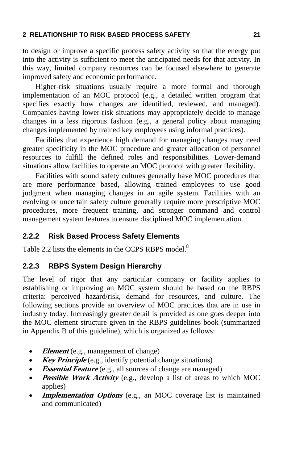to design or improve a specific process safety activity so that the energy put into the activity is sufficient to meet the anticipated needs for that activity. In this way, limited company resources can be focused elsewhere to generate improved safety and economic performance.

Higher-risk situations usually require a more formal and thorough implementation of an MOC protocol (e.g., a detailed written program that specifies exactly how changes are identified, reviewed, and managed). Companies having lower-risk situations may appropriately decide to manage changes in a less rigorous fashion (e.g., a general policy about managing changes implemented by trained key employees using informal practices).

Facilities that experience high demand for managing changes may need greater specificity in the MOC procedure and greater allocation of personnel resources to fulfill the defined roles and responsibilities. Lower-demand situations allow facilities to operate an MOC protocol with greater flexibility.

Facilities with sound safety cultures generally have MOC procedures that are more performance based, allowing trained employees to use good judgment when managing changes in an agile system. Facilities with an evolving or uncertain safety culture generally require more prescriptive MOC procedures, more frequent training, and stronger command and control management system features to ensure disciplined MOC implementation.

#### **2.2.2 Risk Based Process Safety Elements**

Table 2.2 lists the elements in the CCPS RBPS model.<sup>8</sup>

#### **2.2.3 RBPS System Design Hierarchy**

The level of rigor that any particular company or facility applies to establishing or improving an MOC system should be based on the RBPS criteria: perceived hazard/risk, demand for resources, and culture. The following sections provide an overview of MOC practices that are in use in industry today. Increasingly greater detail is provided as one goes deeper into the MOC element structure given in the RBPS guidelines book (summarized in Appendix B of this guideline), which is organized as follows:

- *Element* (e.g., management of change)
- *Key Principle* (e.g., identify potential change situations)
- *Essential Feature* (e.g., all sources of change are managed)
- **Possible Work Activity** (e.g., develop a list of areas to which MOC applies)
- **Implementation Options** (e.g., an MOC coverage list is maintained and communicated)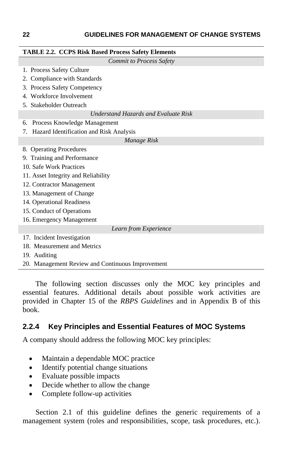| <b>TABLE 2.2. CCPS Risk Based Process Safety Elements</b> |  |  |  |
|-----------------------------------------------------------|--|--|--|
| <b>Commit to Process Safety</b>                           |  |  |  |
| 1. Process Safety Culture                                 |  |  |  |
| 2. Compliance with Standards                              |  |  |  |
| 3. Process Safety Competency                              |  |  |  |
| 4. Workforce Involvement                                  |  |  |  |
| 5. Stakeholder Outreach                                   |  |  |  |
| <b>Understand Hazards and Evaluate Risk</b>               |  |  |  |
| Process Knowledge Management<br>6.                        |  |  |  |
| Hazard Identification and Risk Analysis<br>7.             |  |  |  |
| Manage Risk                                               |  |  |  |
| 8. Operating Procedures                                   |  |  |  |
| 9. Training and Performance                               |  |  |  |
| 10. Safe Work Practices                                   |  |  |  |
| 11. Asset Integrity and Reliability                       |  |  |  |
| 12. Contractor Management                                 |  |  |  |
| 13. Management of Change                                  |  |  |  |
| 14. Operational Readiness                                 |  |  |  |
| 15. Conduct of Operations                                 |  |  |  |
| 16. Emergency Management                                  |  |  |  |
| Learn from Experience                                     |  |  |  |
| 17. Incident Investigation                                |  |  |  |
| 18. Measurement and Metrics                               |  |  |  |
| 19. Auditing                                              |  |  |  |
| 20. Management Review and Continuous Improvement          |  |  |  |

The following section discusses only the MOC key principles and essential features. Additional details about possible work activities are provided in Chapter 15 of the *RBPS Guidelines* and in Appendix B of this book.

#### **2.2.4 Key Principles and Essential Features of MOC Systems**

A company should address the following MOC key principles:

- Maintain a dependable MOC practice
- Identify potential change situations
- Evaluate possible impacts
- Decide whether to allow the change
- Complete follow-up activities

Section 2.1 of this guideline defines the generic requirements of a management system (roles and responsibilities, scope, task procedures, etc.).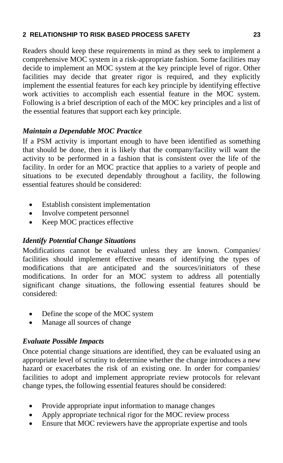Readers should keep these requirements in mind as they seek to implement a comprehensive MOC system in a risk-appropriate fashion. Some facilities may decide to implement an MOC system at the key principle level of rigor. Other facilities may decide that greater rigor is required, and they explicitly implement the essential features for each key principle by identifying effective work activities to accomplish each essential feature in the MOC system. Following is a brief description of each of the MOC key principles and a list of the essential features that support each key principle.

#### *Maintain a Dependable MOC Practice*

If a PSM activity is important enough to have been identified as something that should be done, then it is likely that the company/facility will want the activity to be performed in a fashion that is consistent over the life of the facility. In order for an MOC practice that applies to a variety of people and situations to be executed dependably throughout a facility, the following essential features should be considered:

- Establish consistent implementation
- Involve competent personnel
- Keep MOC practices effective

#### *Identify Potential Change Situations*

Modifications cannot be evaluated unless they are known. Companies/ facilities should implement effective means of identifying the types of modifications that are anticipated and the sources/initiators of these modifications. In order for an MOC system to address all potentially significant change situations, the following essential features should be considered:

- Define the scope of the MOC system
- Manage all sources of change

#### *Evaluate Possible Impacts*

Once potential change situations are identified, they can be evaluated using an appropriate level of scrutiny to determine whether the change introduces a new hazard or exacerbates the risk of an existing one. In order for companies/ facilities to adopt and implement appropriate review protocols for relevant change types, the following essential features should be considered:

- Provide appropriate input information to manage changes
- Apply appropriate technical rigor for the MOC review process
- Ensure that MOC reviewers have the appropriate expertise and tools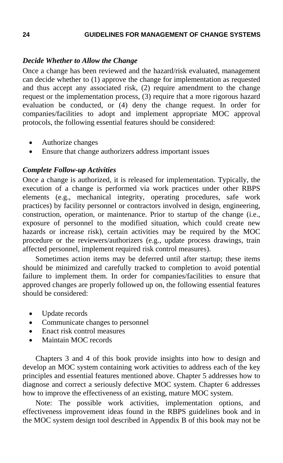#### *Decide Whether to Allow the Change*

Once a change has been reviewed and the hazard/risk evaluated, management can decide whether to (1) approve the change for implementation as requested and thus accept any associated risk, (2) require amendment to the change request or the implementation process, (3) require that a more rigorous hazard evaluation be conducted, or (4) deny the change request. In order for companies/facilities to adopt and implement appropriate MOC approval protocols, the following essential features should be considered:

- Authorize changes
- Ensure that change authorizers address important issues

#### *Complete Follow-up Activities*

Once a change is authorized, it is released for implementation. Typically, the execution of a change is performed via work practices under other RBPS elements (e.g., mechanical integrity, operating procedures, safe work practices) by facility personnel or contractors involved in design, engineering, construction, operation, or maintenance. Prior to startup of the change (i.e., exposure of personnel to the modified situation, which could create new hazards or increase risk), certain activities may be required by the MOC procedure or the reviewers/authorizers (e.g., update process drawings, train affected personnel, implement required risk control measures).

Sometimes action items may be deferred until after startup; these items should be minimized and carefully tracked to completion to avoid potential failure to implement them. In order for companies/facilities to ensure that approved changes are properly followed up on, the following essential features should be considered:

- Update records
- Communicate changes to personnel
- Enact risk control measures
- Maintain MOC records

Chapters 3 and 4 of this book provide insights into how to design and develop an MOC system containing work activities to address each of the key principles and essential features mentioned above. Chapter 5 addresses how to diagnose and correct a seriously defective MOC system. Chapter 6 addresses how to improve the effectiveness of an existing, mature MOC system.

Note: The possible work activities, implementation options, and effectiveness improvement ideas found in the RBPS guidelines book and in the MOC system design tool described in Appendix B of this book may not be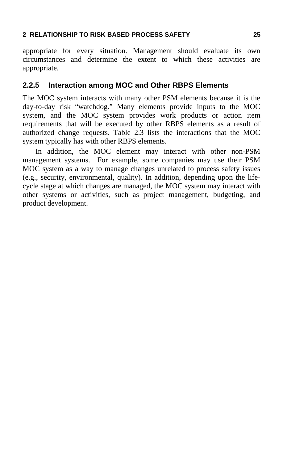appropriate for every situation. Management should evaluate its own circumstances and determine the extent to which these activities are appropriate.

#### **2.2.5 Interaction among MOC and Other RBPS Elements**

The MOC system interacts with many other PSM elements because it is the day-to-day risk "watchdog." Many elements provide inputs to the MOC system, and the MOC system provides work products or action item requirements that will be executed by other RBPS elements as a result of authorized change requests. Table 2.3 lists the interactions that the MOC system typically has with other RBPS elements.

In addition, the MOC element may interact with other non-PSM management systems. For example, some companies may use their PSM MOC system as a way to manage changes unrelated to process safety issues (e.g., security, environmental, quality). In addition, depending upon the lifecycle stage at which changes are managed, the MOC system may interact with other systems or activities, such as project management, budgeting, and product development.